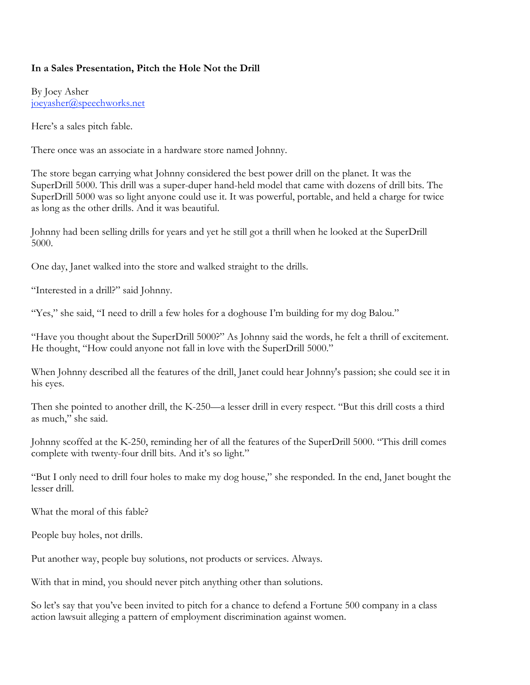## **In a Sales Presentation, Pitch the Hole Not the Drill**

By Joey Asher joeyasher@speechworks.net

Here's a sales pitch fable.

There once was an associate in a hardware store named Johnny.

The store began carrying what Johnny considered the best power drill on the planet. It was the SuperDrill 5000. This drill was a super-duper hand-held model that came with dozens of drill bits. The SuperDrill 5000 was so light anyone could use it. It was powerful, portable, and held a charge for twice as long as the other drills. And it was beautiful.

Johnny had been selling drills for years and yet he still got a thrill when he looked at the SuperDrill 5000.

One day, Janet walked into the store and walked straight to the drills.

"Interested in a drill?" said Johnny.

"Yes," she said, "I need to drill a few holes for a doghouse I'm building for my dog Balou."

"Have you thought about the SuperDrill 5000?" As Johnny said the words, he felt a thrill of excitement. He thought, "How could anyone not fall in love with the SuperDrill 5000."

When Johnny described all the features of the drill, Janet could hear Johnny's passion; she could see it in his eyes.

Then she pointed to another drill, the K-250—a lesser drill in every respect. "But this drill costs a third as much," she said.

Johnny scoffed at the K-250, reminding her of all the features of the SuperDrill 5000. "This drill comes complete with twenty-four drill bits. And it's so light."

"But I only need to drill four holes to make my dog house," she responded. In the end, Janet bought the lesser drill.

What the moral of this fable?

People buy holes, not drills.

Put another way, people buy solutions, not products or services. Always.

With that in mind, you should never pitch anything other than solutions.

So let's say that you've been invited to pitch for a chance to defend a Fortune 500 company in a class action lawsuit alleging a pattern of employment discrimination against women.